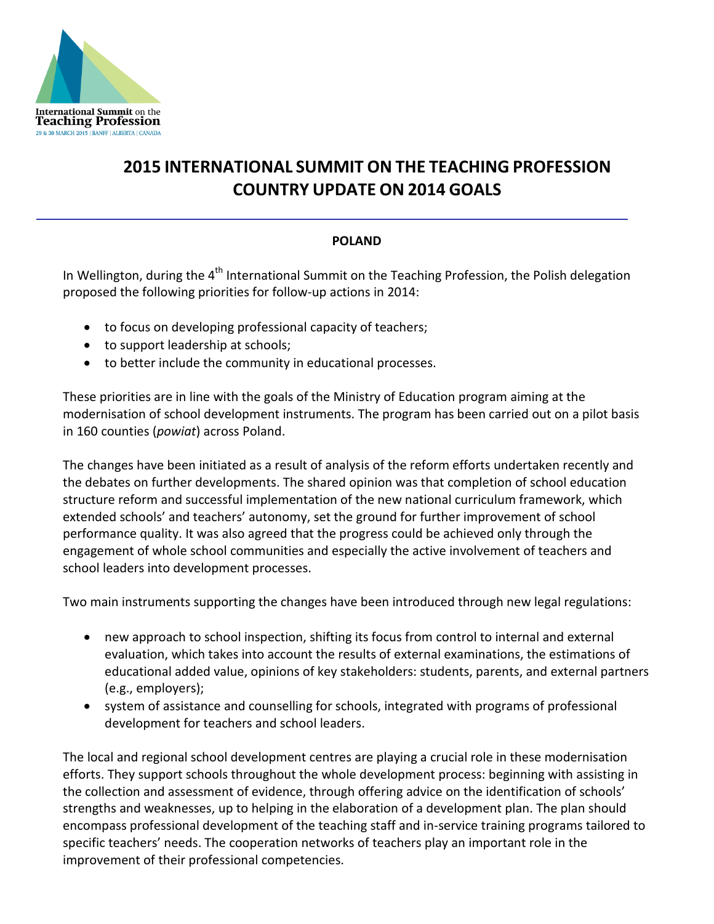

## **2015 INTERNATIONAL SUMMIT ON THE TEACHING PROFESSION COUNTRY UPDATE ON 2014 GOALS**

## **POLAND**

In Wellington, during the 4<sup>th</sup> International Summit on the Teaching Profession, the Polish delegation proposed the following priorities for follow-up actions in 2014:

- to focus on developing professional capacity of teachers;
- to support leadership at schools;
- to better include the community in educational processes.

These priorities are in line with the goals of the Ministry of Education program aiming at the modernisation of school development instruments. The program has been carried out on a pilot basis in 160 counties (*powiat*) across Poland.

The changes have been initiated as a result of analysis of the reform efforts undertaken recently and the debates on further developments. The shared opinion was that completion of school education structure reform and successful implementation of the new national curriculum framework, which extended schools' and teachers' autonomy, set the ground for further improvement of school performance quality. It was also agreed that the progress could be achieved only through the engagement of whole school communities and especially the active involvement of teachers and school leaders into development processes.

Two main instruments supporting the changes have been introduced through new legal regulations:

- new approach to school inspection, shifting its focus from control to internal and external evaluation, which takes into account the results of external examinations, the estimations of educational added value, opinions of key stakeholders: students, parents, and external partners (e.g., employers);
- system of assistance and counselling for schools, integrated with programs of professional development for teachers and school leaders.

The local and regional school development centres are playing a crucial role in these modernisation efforts. They support schools throughout the whole development process: beginning with assisting in the collection and assessment of evidence, through offering advice on the identification of schools' strengths and weaknesses, up to helping in the elaboration of a development plan. The plan should encompass professional development of the teaching staff and in-service training programs tailored to specific teachers' needs. The cooperation networks of teachers play an important role in the improvement of their professional competencies.